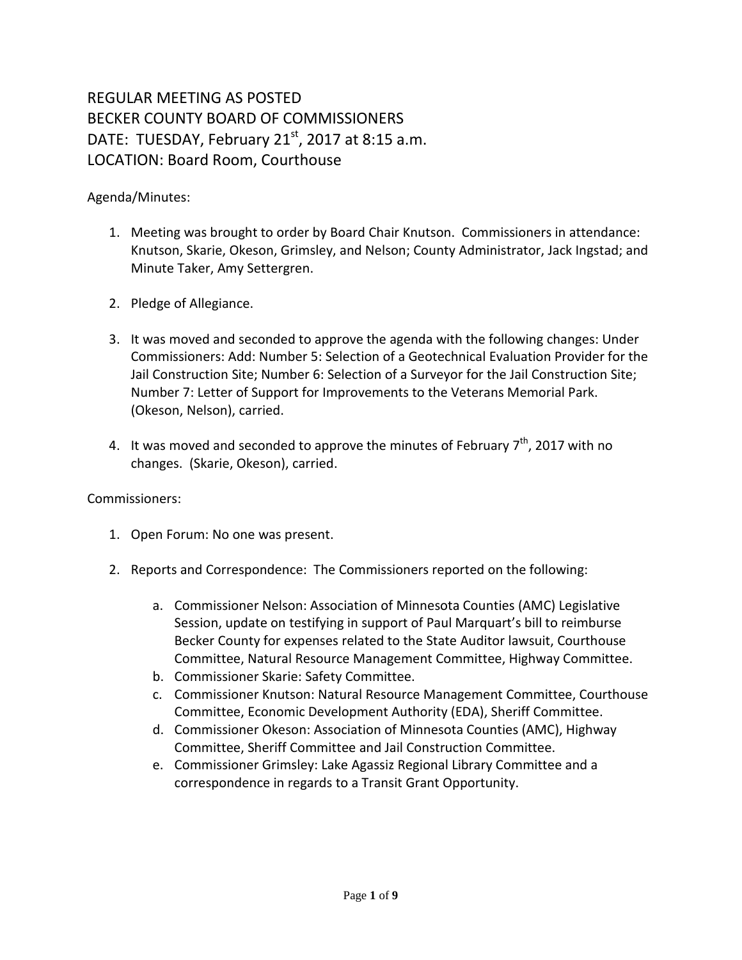## REGULAR MEETING AS POSTED BECKER COUNTY BOARD OF COMMISSIONERS DATE: TUESDAY, February  $21<sup>st</sup>$ , 2017 at 8:15 a.m. LOCATION: Board Room, Courthouse

Agenda/Minutes:

- 1. Meeting was brought to order by Board Chair Knutson. Commissioners in attendance: Knutson, Skarie, Okeson, Grimsley, and Nelson; County Administrator, Jack Ingstad; and Minute Taker, Amy Settergren.
- 2. Pledge of Allegiance.
- 3. It was moved and seconded to approve the agenda with the following changes: Under Commissioners: Add: Number 5: Selection of a Geotechnical Evaluation Provider for the Jail Construction Site; Number 6: Selection of a Surveyor for the Jail Construction Site; Number 7: Letter of Support for Improvements to the Veterans Memorial Park. (Okeson, Nelson), carried.
- 4. It was moved and seconded to approve the minutes of February  $7<sup>th</sup>$ , 2017 with no changes. (Skarie, Okeson), carried.

Commissioners:

- 1. Open Forum: No one was present.
- 2. Reports and Correspondence: The Commissioners reported on the following:
	- a. Commissioner Nelson: Association of Minnesota Counties (AMC) Legislative Session, update on testifying in support of Paul Marquart's bill to reimburse Becker County for expenses related to the State Auditor lawsuit, Courthouse Committee, Natural Resource Management Committee, Highway Committee.
	- b. Commissioner Skarie: Safety Committee.
	- c. Commissioner Knutson: Natural Resource Management Committee, Courthouse Committee, Economic Development Authority (EDA), Sheriff Committee.
	- d. Commissioner Okeson: Association of Minnesota Counties (AMC), Highway Committee, Sheriff Committee and Jail Construction Committee.
	- e. Commissioner Grimsley: Lake Agassiz Regional Library Committee and a correspondence in regards to a Transit Grant Opportunity.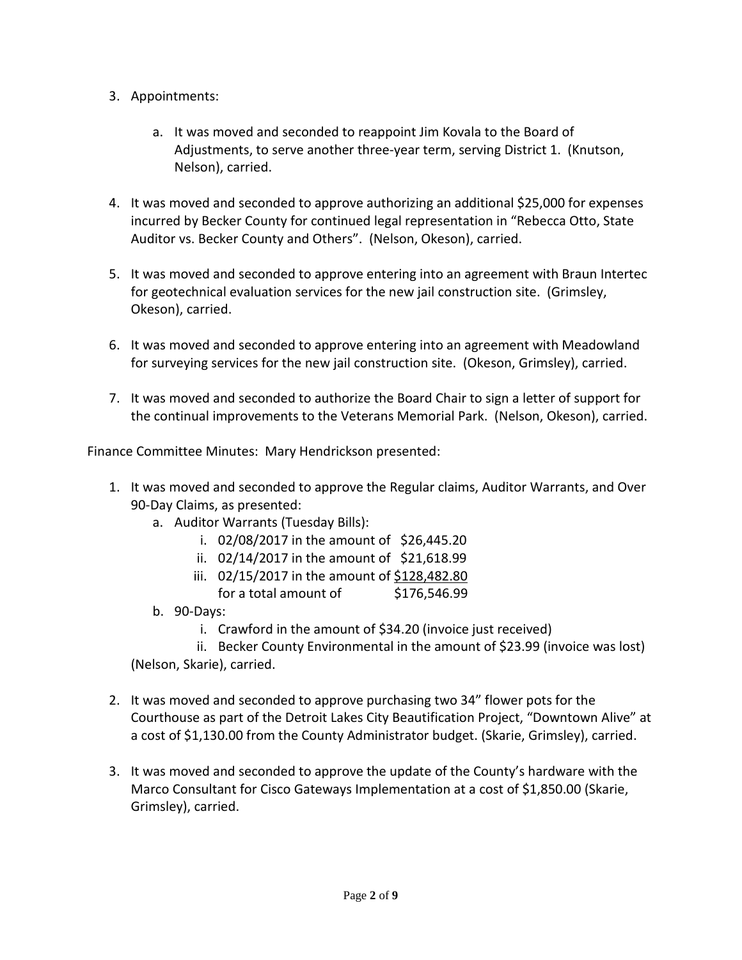- 3. Appointments:
	- a. It was moved and seconded to reappoint Jim Kovala to the Board of Adjustments, to serve another three-year term, serving District 1. (Knutson, Nelson), carried.
- 4. It was moved and seconded to approve authorizing an additional \$25,000 for expenses incurred by Becker County for continued legal representation in "Rebecca Otto, State Auditor vs. Becker County and Others". (Nelson, Okeson), carried.
- 5. It was moved and seconded to approve entering into an agreement with Braun Intertec for geotechnical evaluation services for the new jail construction site. (Grimsley, Okeson), carried.
- 6. It was moved and seconded to approve entering into an agreement with Meadowland for surveying services for the new jail construction site. (Okeson, Grimsley), carried.
- 7. It was moved and seconded to authorize the Board Chair to sign a letter of support for the continual improvements to the Veterans Memorial Park. (Nelson, Okeson), carried.

Finance Committee Minutes: Mary Hendrickson presented:

- 1. It was moved and seconded to approve the Regular claims, Auditor Warrants, and Over 90-Day Claims, as presented:
	- a. Auditor Warrants (Tuesday Bills):
		- i. 02/08/2017 in the amount of \$26,445.20
		- ii. 02/14/2017 in the amount of \$21,618.99
		- iii. 02/15/2017 in the amount of \$128,482.80 for a total amount of \$176,546.99
	- b. 90-Days:
		- i. Crawford in the amount of \$34.20 (invoice just received)
	- ii. Becker County Environmental in the amount of \$23.99 (invoice was lost) (Nelson, Skarie), carried.
- 2. It was moved and seconded to approve purchasing two 34" flower pots for the Courthouse as part of the Detroit Lakes City Beautification Project, "Downtown Alive" at a cost of \$1,130.00 from the County Administrator budget. (Skarie, Grimsley), carried.
- 3. It was moved and seconded to approve the update of the County's hardware with the Marco Consultant for Cisco Gateways Implementation at a cost of \$1,850.00 (Skarie, Grimsley), carried.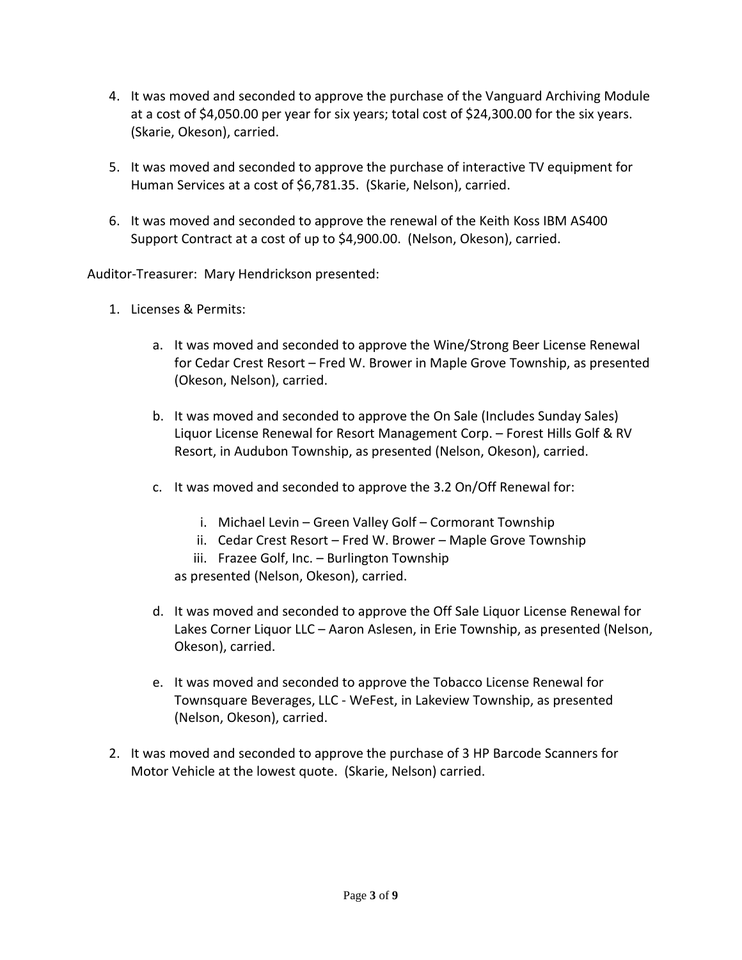- 4. It was moved and seconded to approve the purchase of the Vanguard Archiving Module at a cost of \$4,050.00 per year for six years; total cost of \$24,300.00 for the six years. (Skarie, Okeson), carried.
- 5. It was moved and seconded to approve the purchase of interactive TV equipment for Human Services at a cost of \$6,781.35. (Skarie, Nelson), carried.
- 6. It was moved and seconded to approve the renewal of the Keith Koss IBM AS400 Support Contract at a cost of up to \$4,900.00. (Nelson, Okeson), carried.

Auditor-Treasurer: Mary Hendrickson presented:

- 1. Licenses & Permits:
	- a. It was moved and seconded to approve the Wine/Strong Beer License Renewal for Cedar Crest Resort – Fred W. Brower in Maple Grove Township, as presented (Okeson, Nelson), carried.
	- b. It was moved and seconded to approve the On Sale (Includes Sunday Sales) Liquor License Renewal for Resort Management Corp. – Forest Hills Golf & RV Resort, in Audubon Township, as presented (Nelson, Okeson), carried.
	- c. It was moved and seconded to approve the 3.2 On/Off Renewal for:
		- i. Michael Levin Green Valley Golf Cormorant Township
		- ii. Cedar Crest Resort Fred W. Brower Maple Grove Township
		- iii. Frazee Golf, Inc. Burlington Township

as presented (Nelson, Okeson), carried.

- d. It was moved and seconded to approve the Off Sale Liquor License Renewal for Lakes Corner Liquor LLC – Aaron Aslesen, in Erie Township, as presented (Nelson, Okeson), carried.
- e. It was moved and seconded to approve the Tobacco License Renewal for Townsquare Beverages, LLC - WeFest, in Lakeview Township, as presented (Nelson, Okeson), carried.
- 2. It was moved and seconded to approve the purchase of 3 HP Barcode Scanners for Motor Vehicle at the lowest quote. (Skarie, Nelson) carried.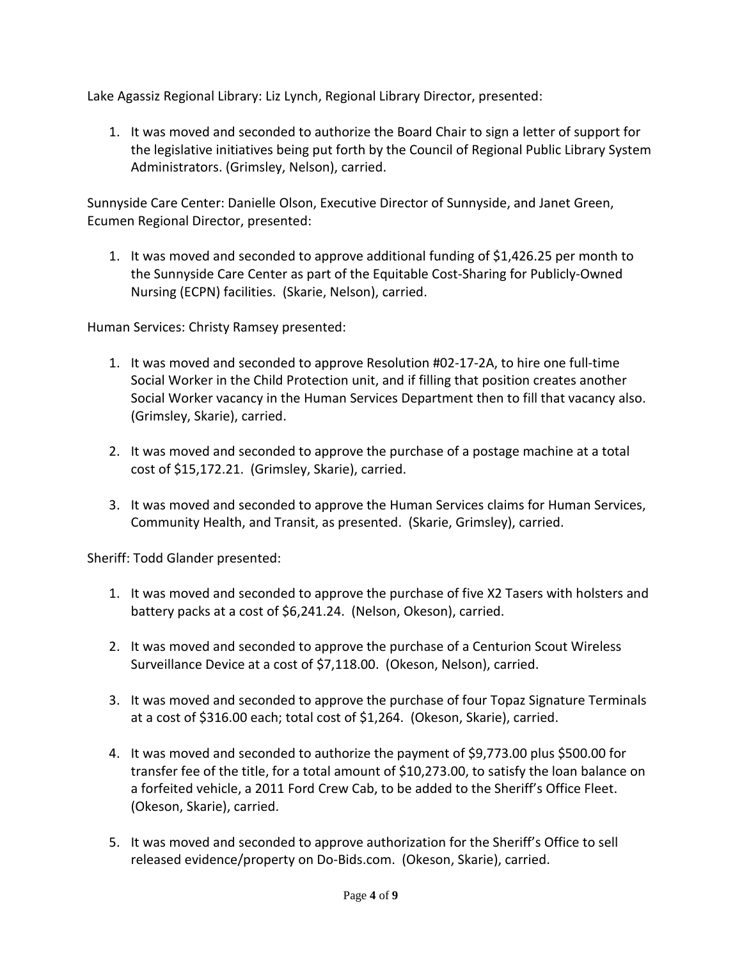Lake Agassiz Regional Library: Liz Lynch, Regional Library Director, presented:

1. It was moved and seconded to authorize the Board Chair to sign a letter of support for the legislative initiatives being put forth by the Council of Regional Public Library System Administrators. (Grimsley, Nelson), carried.

Sunnyside Care Center: Danielle Olson, Executive Director of Sunnyside, and Janet Green, Ecumen Regional Director, presented:

1. It was moved and seconded to approve additional funding of \$1,426.25 per month to the Sunnyside Care Center as part of the Equitable Cost-Sharing for Publicly-Owned Nursing (ECPN) facilities. (Skarie, Nelson), carried.

Human Services: Christy Ramsey presented:

- 1. It was moved and seconded to approve Resolution #02-17-2A, to hire one full-time Social Worker in the Child Protection unit, and if filling that position creates another Social Worker vacancy in the Human Services Department then to fill that vacancy also. (Grimsley, Skarie), carried.
- 2. It was moved and seconded to approve the purchase of a postage machine at a total cost of \$15,172.21. (Grimsley, Skarie), carried.
- 3. It was moved and seconded to approve the Human Services claims for Human Services, Community Health, and Transit, as presented. (Skarie, Grimsley), carried.

Sheriff: Todd Glander presented:

- 1. It was moved and seconded to approve the purchase of five X2 Tasers with holsters and battery packs at a cost of \$6,241.24. (Nelson, Okeson), carried.
- 2. It was moved and seconded to approve the purchase of a Centurion Scout Wireless Surveillance Device at a cost of \$7,118.00. (Okeson, Nelson), carried.
- 3. It was moved and seconded to approve the purchase of four Topaz Signature Terminals at a cost of \$316.00 each; total cost of \$1,264. (Okeson, Skarie), carried.
- 4. It was moved and seconded to authorize the payment of \$9,773.00 plus \$500.00 for transfer fee of the title, for a total amount of \$10,273.00, to satisfy the loan balance on a forfeited vehicle, a 2011 Ford Crew Cab, to be added to the Sheriff's Office Fleet. (Okeson, Skarie), carried.
- 5. It was moved and seconded to approve authorization for the Sheriff's Office to sell released evidence/property on Do-Bids.com. (Okeson, Skarie), carried.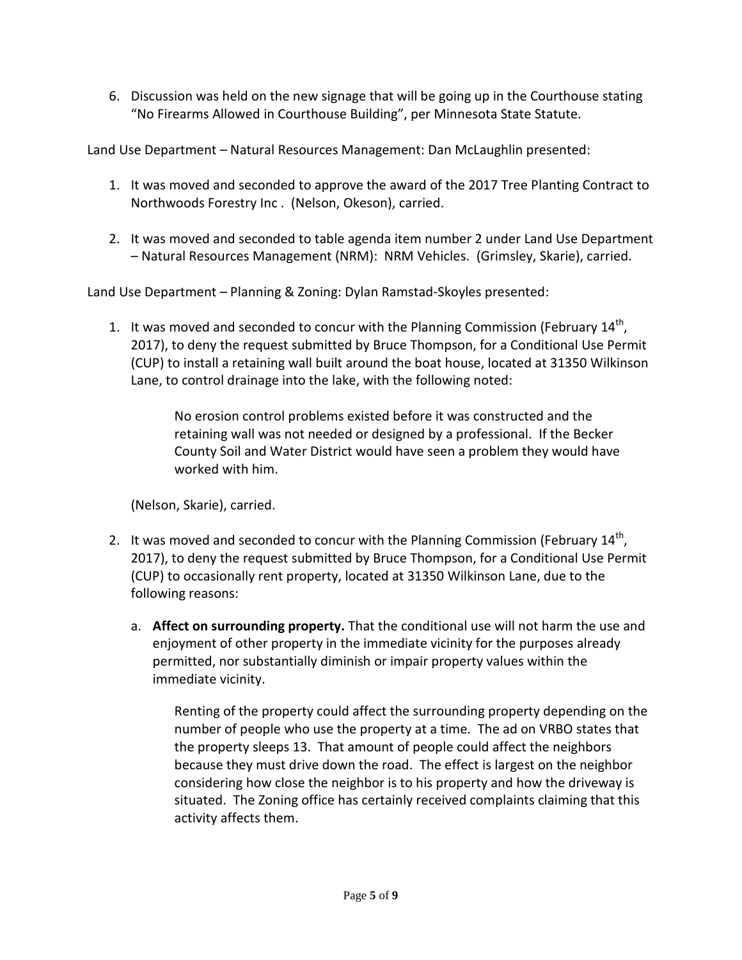6. Discussion was held on the new signage that will be going up in the Courthouse stating "No Firearms Allowed in Courthouse Building", per Minnesota State Statute.

Land Use Department – Natural Resources Management: Dan McLaughlin presented:

- 1. It was moved and seconded to approve the award of the 2017 Tree Planting Contract to Northwoods Forestry Inc . (Nelson, Okeson), carried.
- 2. It was moved and seconded to table agenda item number 2 under Land Use Department – Natural Resources Management (NRM): NRM Vehicles. (Grimsley, Skarie), carried.

Land Use Department – Planning & Zoning: Dylan Ramstad-Skoyles presented:

1. It was moved and seconded to concur with the Planning Commission (February  $14<sup>th</sup>$ , 2017), to deny the request submitted by Bruce Thompson, for a Conditional Use Permit (CUP) to install a retaining wall built around the boat house, located at 31350 Wilkinson Lane, to control drainage into the lake, with the following noted:

> No erosion control problems existed before it was constructed and the retaining wall was not needed or designed by a professional. If the Becker County Soil and Water District would have seen a problem they would have worked with him.

(Nelson, Skarie), carried.

- 2. It was moved and seconded to concur with the Planning Commission (February 14<sup>th</sup>, 2017), to deny the request submitted by Bruce Thompson, for a Conditional Use Permit (CUP) to occasionally rent property, located at 31350 Wilkinson Lane, due to the following reasons:
	- a. **Affect on surrounding property.** That the conditional use will not harm the use and enjoyment of other property in the immediate vicinity for the purposes already permitted, nor substantially diminish or impair property values within the immediate vicinity.

Renting of the property could affect the surrounding property depending on the number of people who use the property at a time. The ad on VRBO states that the property sleeps 13. That amount of people could affect the neighbors because they must drive down the road. The effect is largest on the neighbor considering how close the neighbor is to his property and how the driveway is situated. The Zoning office has certainly received complaints claiming that this activity affects them.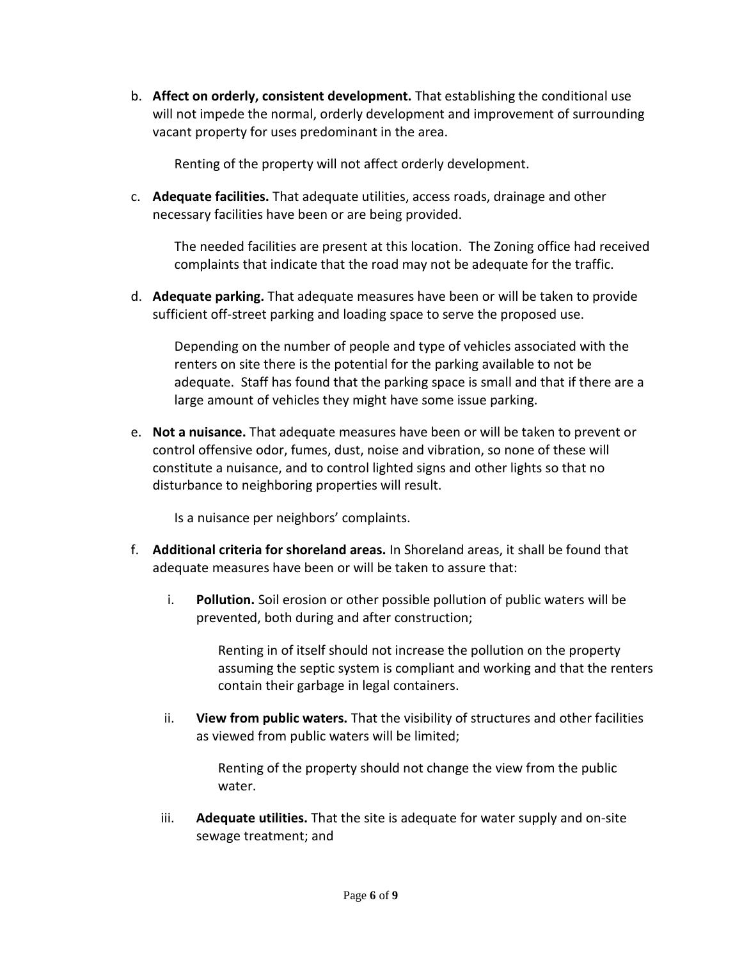b. **Affect on orderly, consistent development.** That establishing the conditional use will not impede the normal, orderly development and improvement of surrounding vacant property for uses predominant in the area.

Renting of the property will not affect orderly development.

c. **Adequate facilities.** That adequate utilities, access roads, drainage and other necessary facilities have been or are being provided.

The needed facilities are present at this location. The Zoning office had received complaints that indicate that the road may not be adequate for the traffic.

d. **Adequate parking.** That adequate measures have been or will be taken to provide sufficient off-street parking and loading space to serve the proposed use.

Depending on the number of people and type of vehicles associated with the renters on site there is the potential for the parking available to not be adequate. Staff has found that the parking space is small and that if there are a large amount of vehicles they might have some issue parking.

e. **Not a nuisance.** That adequate measures have been or will be taken to prevent or control offensive odor, fumes, dust, noise and vibration, so none of these will constitute a nuisance, and to control lighted signs and other lights so that no disturbance to neighboring properties will result.

Is a nuisance per neighbors' complaints.

- f. **Additional criteria for shoreland areas.** In Shoreland areas, it shall be found that adequate measures have been or will be taken to assure that:
	- i. **Pollution.** Soil erosion or other possible pollution of public waters will be prevented, both during and after construction;

Renting in of itself should not increase the pollution on the property assuming the septic system is compliant and working and that the renters contain their garbage in legal containers.

ii. **View from public waters.** That the visibility of structures and other facilities as viewed from public waters will be limited;

> Renting of the property should not change the view from the public water.

iii. **Adequate utilities.** That the site is adequate for water supply and on-site sewage treatment; and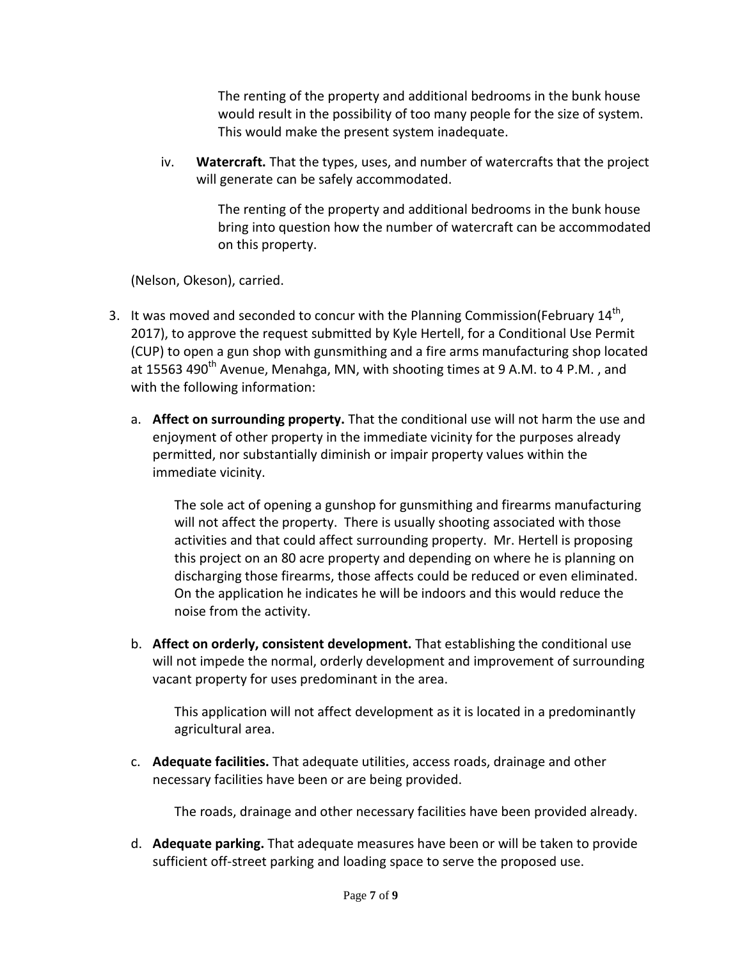The renting of the property and additional bedrooms in the bunk house would result in the possibility of too many people for the size of system. This would make the present system inadequate.

iv. **Watercraft.** That the types, uses, and number of watercrafts that the project will generate can be safely accommodated.

> The renting of the property and additional bedrooms in the bunk house bring into question how the number of watercraft can be accommodated on this property.

(Nelson, Okeson), carried.

- 3. It was moved and seconded to concur with the Planning Commission(February  $14<sup>th</sup>$ , 2017), to approve the request submitted by Kyle Hertell, for a Conditional Use Permit (CUP) to open a gun shop with gunsmithing and a fire arms manufacturing shop located at 15563 490<sup>th</sup> Avenue, Menahga, MN, with shooting times at 9 A.M. to 4 P.M., and with the following information:
	- a. **Affect on surrounding property.** That the conditional use will not harm the use and enjoyment of other property in the immediate vicinity for the purposes already permitted, nor substantially diminish or impair property values within the immediate vicinity.

The sole act of opening a gunshop for gunsmithing and firearms manufacturing will not affect the property. There is usually shooting associated with those activities and that could affect surrounding property. Mr. Hertell is proposing this project on an 80 acre property and depending on where he is planning on discharging those firearms, those affects could be reduced or even eliminated. On the application he indicates he will be indoors and this would reduce the noise from the activity.

b. **Affect on orderly, consistent development.** That establishing the conditional use will not impede the normal, orderly development and improvement of surrounding vacant property for uses predominant in the area.

This application will not affect development as it is located in a predominantly agricultural area.

c. **Adequate facilities.** That adequate utilities, access roads, drainage and other necessary facilities have been or are being provided.

The roads, drainage and other necessary facilities have been provided already.

d. **Adequate parking.** That adequate measures have been or will be taken to provide sufficient off-street parking and loading space to serve the proposed use.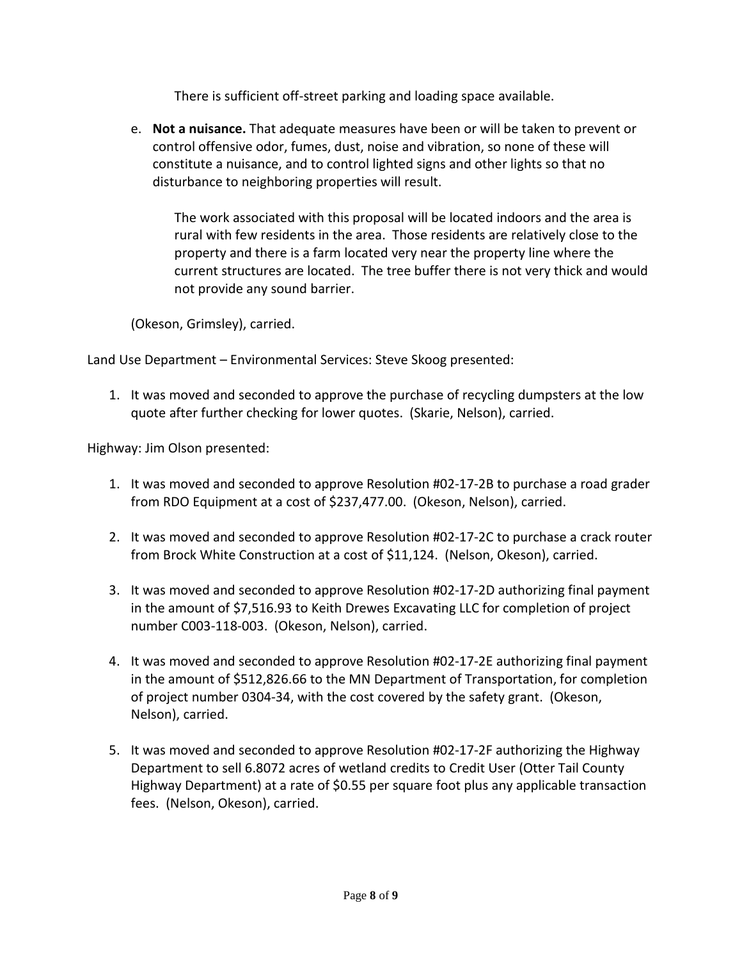There is sufficient off-street parking and loading space available.

e. **Not a nuisance.** That adequate measures have been or will be taken to prevent or control offensive odor, fumes, dust, noise and vibration, so none of these will constitute a nuisance, and to control lighted signs and other lights so that no disturbance to neighboring properties will result.

The work associated with this proposal will be located indoors and the area is rural with few residents in the area. Those residents are relatively close to the property and there is a farm located very near the property line where the current structures are located. The tree buffer there is not very thick and would not provide any sound barrier.

(Okeson, Grimsley), carried.

Land Use Department – Environmental Services: Steve Skoog presented:

1. It was moved and seconded to approve the purchase of recycling dumpsters at the low quote after further checking for lower quotes. (Skarie, Nelson), carried.

Highway: Jim Olson presented:

- 1. It was moved and seconded to approve Resolution #02-17-2B to purchase a road grader from RDO Equipment at a cost of \$237,477.00. (Okeson, Nelson), carried.
- 2. It was moved and seconded to approve Resolution #02-17-2C to purchase a crack router from Brock White Construction at a cost of \$11,124. (Nelson, Okeson), carried.
- 3. It was moved and seconded to approve Resolution #02-17-2D authorizing final payment in the amount of \$7,516.93 to Keith Drewes Excavating LLC for completion of project number C003-118-003. (Okeson, Nelson), carried.
- 4. It was moved and seconded to approve Resolution #02-17-2E authorizing final payment in the amount of \$512,826.66 to the MN Department of Transportation, for completion of project number 0304-34, with the cost covered by the safety grant. (Okeson, Nelson), carried.
- 5. It was moved and seconded to approve Resolution #02-17-2F authorizing the Highway Department to sell 6.8072 acres of wetland credits to Credit User (Otter Tail County Highway Department) at a rate of \$0.55 per square foot plus any applicable transaction fees. (Nelson, Okeson), carried.